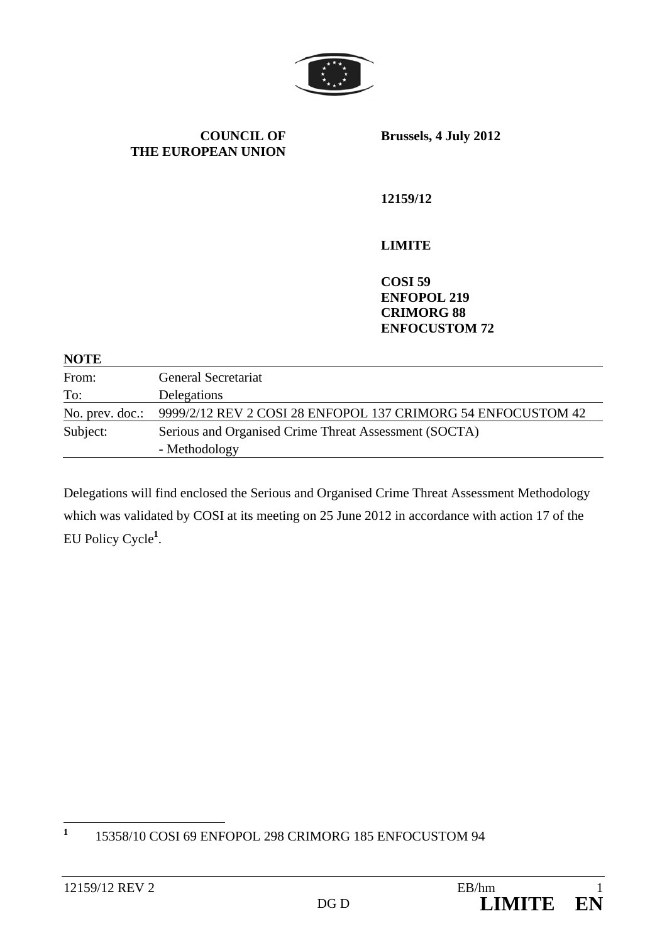

**COUNCIL OF THE EUROPEAN UNION** **Brussels, 4 July 2012** 

**12159/12** 

#### **LIMITE**

**COSI 59 ENFOPOL 219 CRIMORG 88 ENFOCUSTOM 72** 

**NOTE** 

| From:           | <b>General Secretariat</b>                                   |
|-----------------|--------------------------------------------------------------|
| To:             | Delegations                                                  |
| No. prev. doc.: | 9999/2/12 REV 2 COSI 28 ENFOPOL 137 CRIMORG 54 ENFOCUSTOM 42 |
| Subject:        | Serious and Organised Crime Threat Assessment (SOCTA)        |
|                 | - Methodology                                                |

Delegations will find enclosed the Serious and Organised Crime Threat Assessment Methodology which was validated by COSI at its meeting on 25 June 2012 in accordance with action 17 of the EU Policy Cycle**<sup>1</sup>** .

 **1** 15358/10 COSI 69 ENFOPOL 298 CRIMORG 185 ENFOCUSTOM 94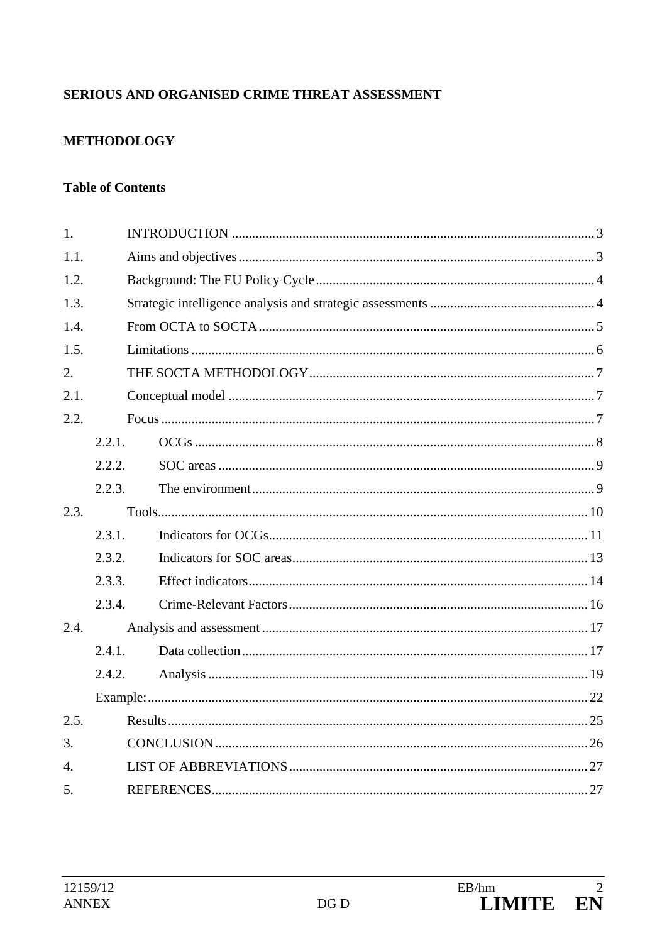## SERIOUS AND ORGANISED CRIME THREAT ASSESSMENT

### **METHODOLOGY**

#### **Table of Contents**

| 1.             |        |  |  |  |  |  |  |
|----------------|--------|--|--|--|--|--|--|
| 1.1.           |        |  |  |  |  |  |  |
| 1.2.           |        |  |  |  |  |  |  |
| 1.3.           |        |  |  |  |  |  |  |
| 1.4.           |        |  |  |  |  |  |  |
| 1.5.           |        |  |  |  |  |  |  |
| 2.             |        |  |  |  |  |  |  |
| 2.1.           |        |  |  |  |  |  |  |
| 2.2.           |        |  |  |  |  |  |  |
|                | 2.2.1. |  |  |  |  |  |  |
|                | 2.2.2. |  |  |  |  |  |  |
|                | 2.2.3. |  |  |  |  |  |  |
| 2.3.           |        |  |  |  |  |  |  |
|                | 2.3.1. |  |  |  |  |  |  |
|                | 2.3.2. |  |  |  |  |  |  |
|                | 2.3.3. |  |  |  |  |  |  |
|                | 2.3.4. |  |  |  |  |  |  |
| 2.4.           |        |  |  |  |  |  |  |
|                | 2.4.1. |  |  |  |  |  |  |
|                | 2.4.2. |  |  |  |  |  |  |
|                |        |  |  |  |  |  |  |
| 2.5.           |        |  |  |  |  |  |  |
| 3.             |        |  |  |  |  |  |  |
| $\mathbf{4}$ . |        |  |  |  |  |  |  |
| 5.             |        |  |  |  |  |  |  |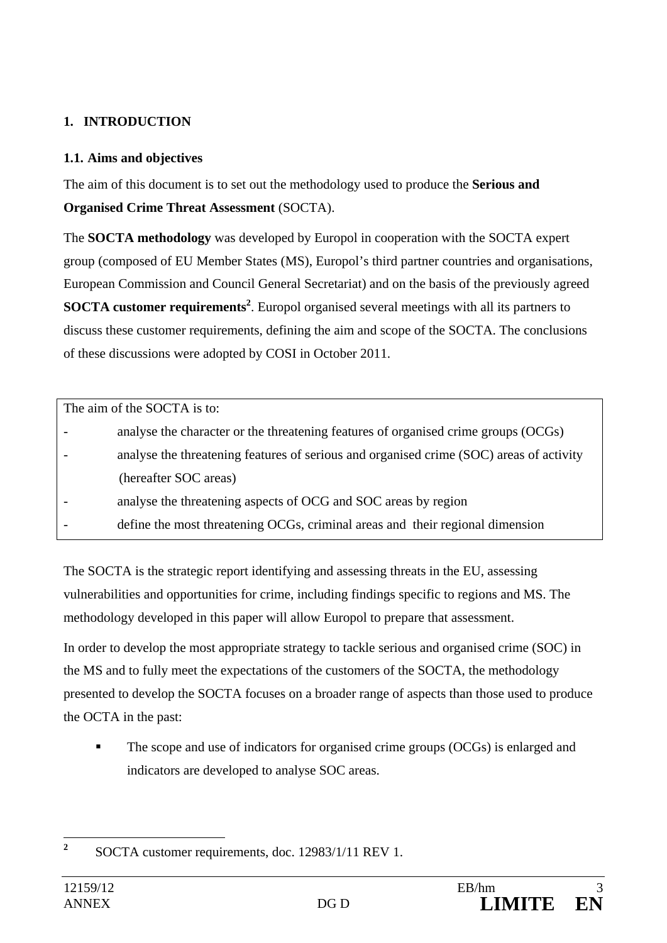## **1. INTRODUCTION**

#### **1.1. Aims and objectives**

The aim of this document is to set out the methodology used to produce the **Serious and Organised Crime Threat Assessment** (SOCTA).

The **SOCTA methodology** was developed by Europol in cooperation with the SOCTA expert group (composed of EU Member States (MS), Europol's third partner countries and organisations, European Commission and Council General Secretariat) and on the basis of the previously agreed **SOCTA customer requirements<sup>2</sup>**. Europol organised several meetings with all its partners to discuss these customer requirements, defining the aim and scope of the SOCTA. The conclusions of these discussions were adopted by COSI in October 2011.

| The aim of the SOCTA is to: |                                                                                         |  |  |  |
|-----------------------------|-----------------------------------------------------------------------------------------|--|--|--|
|                             | analyse the character or the threatening features of organised crime groups (OCGs)      |  |  |  |
|                             | analyse the threatening features of serious and organised crime (SOC) areas of activity |  |  |  |
|                             | (hereafter SOC areas)                                                                   |  |  |  |
|                             | analyse the threatening aspects of OCG and SOC areas by region                          |  |  |  |
|                             | define the most threatening OCGs, criminal areas and their regional dimension           |  |  |  |

The SOCTA is the strategic report identifying and assessing threats in the EU, assessing vulnerabilities and opportunities for crime, including findings specific to regions and MS. The methodology developed in this paper will allow Europol to prepare that assessment.

In order to develop the most appropriate strategy to tackle serious and organised crime (SOC) in the MS and to fully meet the expectations of the customers of the SOCTA, the methodology presented to develop the SOCTA focuses on a broader range of aspects than those used to produce the OCTA in the past:

 The scope and use of indicators for organised crime groups (OCGs) is enlarged and indicators are developed to analyse SOC areas.

 **2** SOCTA customer requirements, doc. 12983/1/11 REV 1.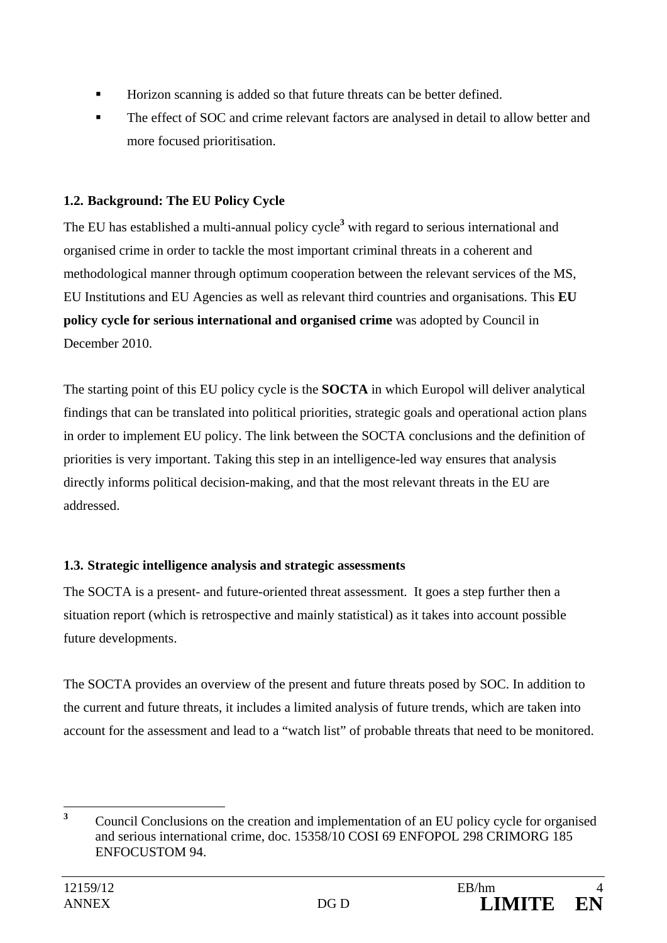- Horizon scanning is added so that future threats can be better defined.
- The effect of SOC and crime relevant factors are analysed in detail to allow better and more focused prioritisation.

## **1.2. Background: The EU Policy Cycle**

The EU has established a multi-annual policy cycle**<sup>3</sup>** with regard to serious international and organised crime in order to tackle the most important criminal threats in a coherent and methodological manner through optimum cooperation between the relevant services of the MS, EU Institutions and EU Agencies as well as relevant third countries and organisations. This **EU policy cycle for serious international and organised crime** was adopted by Council in December 2010.

The starting point of this EU policy cycle is the **SOCTA** in which Europol will deliver analytical findings that can be translated into political priorities, strategic goals and operational action plans in order to implement EU policy. The link between the SOCTA conclusions and the definition of priorities is very important. Taking this step in an intelligence-led way ensures that analysis directly informs political decision-making, and that the most relevant threats in the EU are addressed.

## **1.3. Strategic intelligence analysis and strategic assessments**

The SOCTA is a present- and future-oriented threat assessment. It goes a step further then a situation report (which is retrospective and mainly statistical) as it takes into account possible future developments.

The SOCTA provides an overview of the present and future threats posed by SOC. In addition to the current and future threats, it includes a limited analysis of future trends, which are taken into account for the assessment and lead to a "watch list" of probable threats that need to be monitored.

 **3** Council Conclusions on the creation and implementation of an EU policy cycle for organised and serious international crime, doc. 15358/10 COSI 69 ENFOPOL 298 CRIMORG 185 ENFOCUSTOM 94.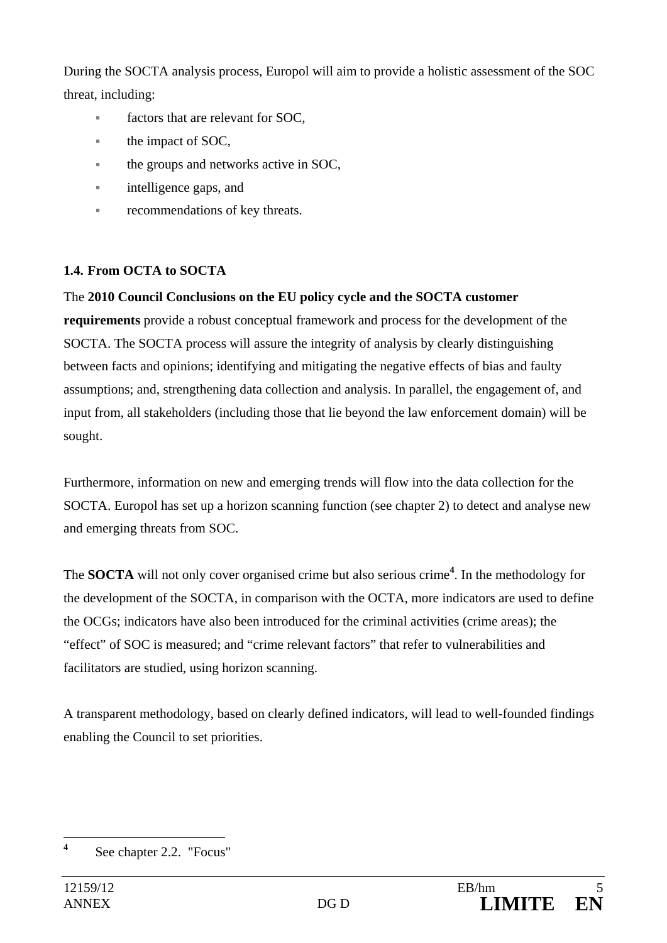During the SOCTA analysis process, Europol will aim to provide a holistic assessment of the SOC threat, including:

- factors that are relevant for SOC,
- the impact of SOC,
- the groups and networks active in SOC,
- **intelligence gaps, and**
- recommendations of key threats.

## **1.4. From OCTA to SOCTA**

## The **2010 Council Conclusions on the EU policy cycle and the SOCTA customer**

**requirements** provide a robust conceptual framework and process for the development of the SOCTA. The SOCTA process will assure the integrity of analysis by clearly distinguishing between facts and opinions; identifying and mitigating the negative effects of bias and faulty assumptions; and, strengthening data collection and analysis. In parallel, the engagement of, and input from, all stakeholders (including those that lie beyond the law enforcement domain) will be sought.

Furthermore, information on new and emerging trends will flow into the data collection for the SOCTA. Europol has set up a horizon scanning function (see chapter 2) to detect and analyse new and emerging threats from SOC.

The **SOCTA** will not only cover organised crime but also serious crime**<sup>4</sup>** . In the methodology for the development of the SOCTA, in comparison with the OCTA, more indicators are used to define the OCGs; indicators have also been introduced for the criminal activities (crime areas); the "effect" of SOC is measured; and "crime relevant factors" that refer to vulnerabilities and facilitators are studied, using horizon scanning.

A transparent methodology, based on clearly defined indicators, will lead to well-founded findings enabling the Council to set priorities.

 **4** See chapter 2.2. "Focus"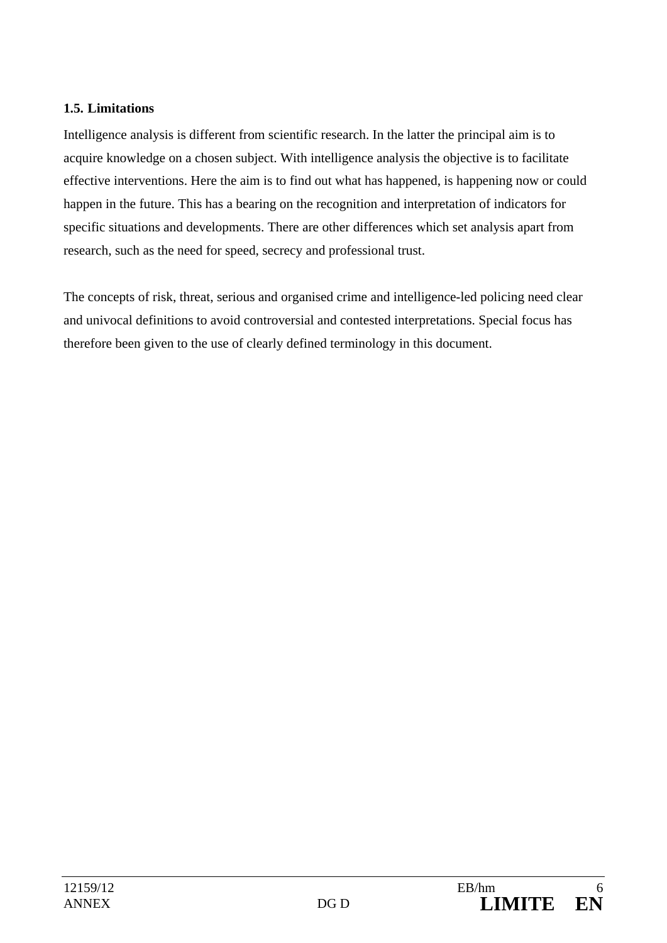#### **1.5. Limitations**

Intelligence analysis is different from scientific research. In the latter the principal aim is to acquire knowledge on a chosen subject. With intelligence analysis the objective is to facilitate effective interventions. Here the aim is to find out what has happened, is happening now or could happen in the future. This has a bearing on the recognition and interpretation of indicators for specific situations and developments. There are other differences which set analysis apart from research, such as the need for speed, secrecy and professional trust.

The concepts of risk, threat, serious and organised crime and intelligence-led policing need clear and univocal definitions to avoid controversial and contested interpretations. Special focus has therefore been given to the use of clearly defined terminology in this document.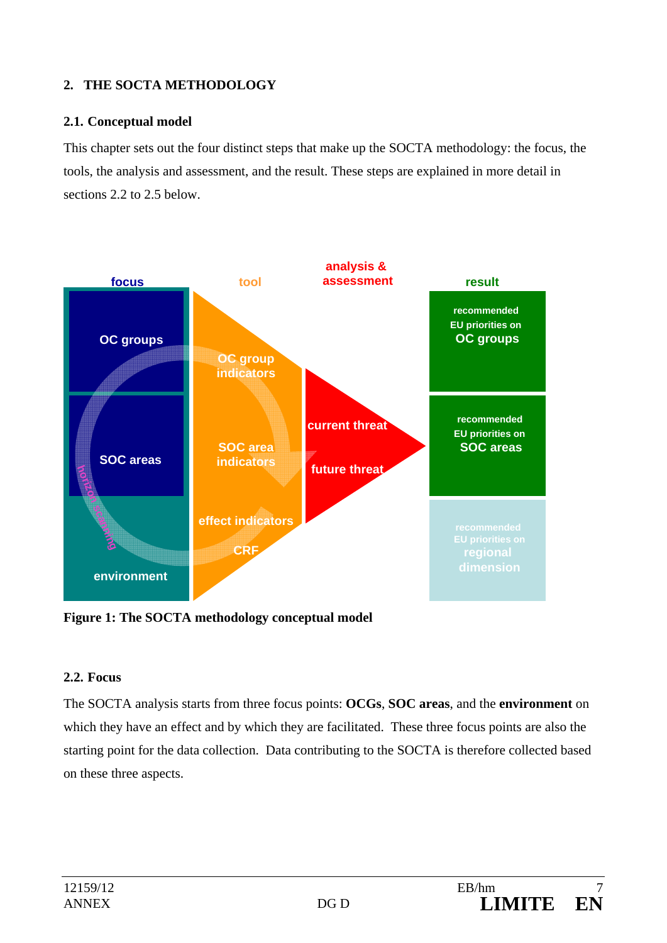### **2. THE SOCTA METHODOLOGY**

#### **2.1. Conceptual model**

This chapter sets out the four distinct steps that make up the SOCTA methodology: the focus, the tools, the analysis and assessment, and the result. These steps are explained in more detail in sections 2.2 to 2.5 below.



**Figure 1: The SOCTA methodology conceptual model** 

#### **2.2. Focus**

The SOCTA analysis starts from three focus points: **OCGs**, **SOC areas**, and the **environment** on which they have an effect and by which they are facilitated. These three focus points are also the starting point for the data collection. Data contributing to the SOCTA is therefore collected based on these three aspects.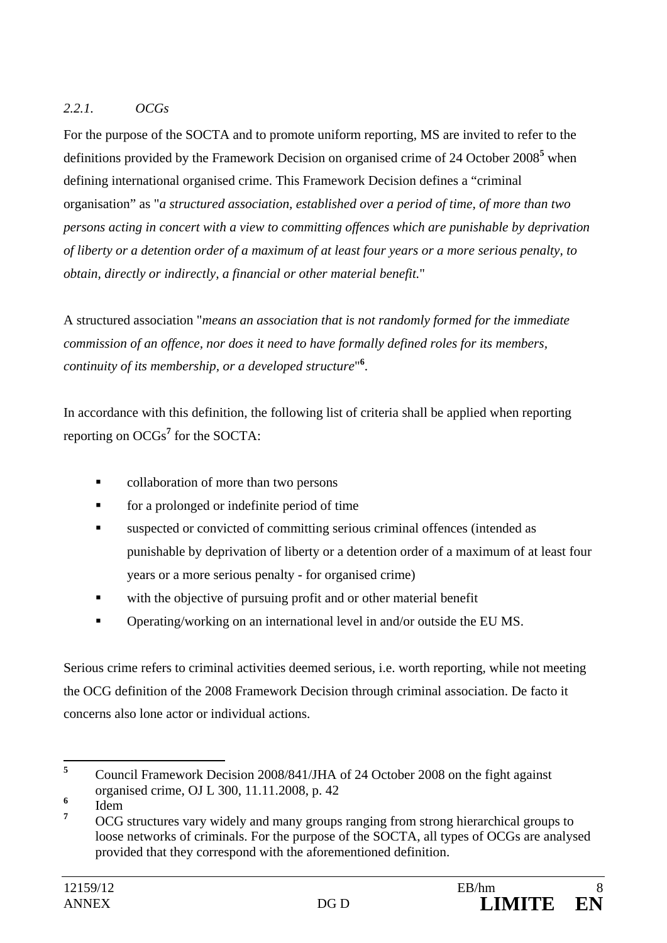### *2.2.1. OCGs*

For the purpose of the SOCTA and to promote uniform reporting, MS are invited to refer to the definitions provided by the Framework Decision on organised crime of 24 October 2008<sup>5</sup> when defining international organised crime. This Framework Decision defines a "criminal organisation" as "*a structured association, established over a period of time, of more than two persons acting in concert with a view to committing offences which are punishable by deprivation of liberty or a detention order of a maximum of at least four years or a more serious penalty, to obtain, directly or indirectly, a financial or other material benefit.*"

A structured association "*means an association that is not randomly formed for the immediate commission of an offence, nor does it need to have formally defined roles for its members, continuity of its membership, or a developed structure*" **6** .

In accordance with this definition, the following list of criteria shall be applied when reporting reporting on OCGs**<sup>7</sup>** for the SOCTA:

- collaboration of more than two persons
- **for a prolonged or indefinite period of time**
- suspected or convicted of committing serious criminal offences (intended as punishable by deprivation of liberty or a detention order of a maximum of at least four years or a more serious penalty - for organised crime)
- with the objective of pursuing profit and or other material benefit
- Operating/working on an international level in and/or outside the EU MS.

Serious crime refers to criminal activities deemed serious, i.e. worth reporting, while not meeting the OCG definition of the 2008 Framework Decision through criminal association. De facto it concerns also lone actor or individual actions.

 **5** Council Framework Decision 2008/841/JHA of 24 October 2008 on the fight against organised crime, OJ L 300, 11.11.2008, p. 42

**<sup>6</sup>** Idem

**<sup>7</sup>** OCG structures vary widely and many groups ranging from strong hierarchical groups to loose networks of criminals. For the purpose of the SOCTA, all types of OCGs are analysed provided that they correspond with the aforementioned definition.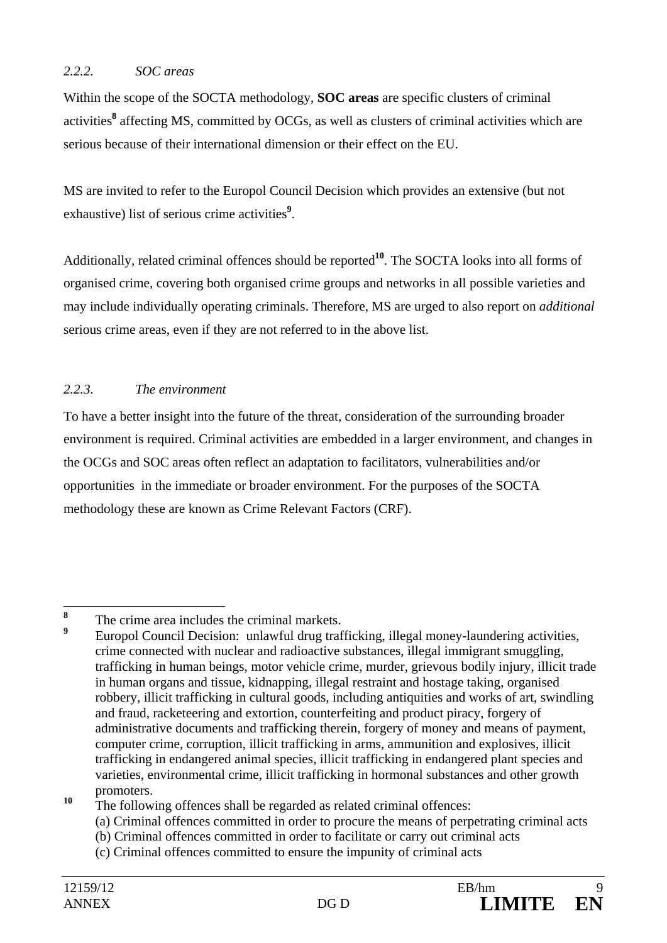#### *2.2.2. SOC areas*

Within the scope of the SOCTA methodology, **SOC areas** are specific clusters of criminal activities**<sup>8</sup>** affecting MS, committed by OCGs, as well as clusters of criminal activities which are serious because of their international dimension or their effect on the EU.

MS are invited to refer to the Europol Council Decision which provides an extensive (but not exhaustive) list of serious crime activities<sup>9</sup>.

Additionally, related criminal offences should be reported**<sup>10</sup>**. The SOCTA looks into all forms of organised crime, covering both organised crime groups and networks in all possible varieties and may include individually operating criminals. Therefore, MS are urged to also report on *additional* serious crime areas, even if they are not referred to in the above list.

### *2.2.3. The environment*

To have a better insight into the future of the threat, consideration of the surrounding broader environment is required. Criminal activities are embedded in a larger environment, and changes in the OCGs and SOC areas often reflect an adaptation to facilitators, vulnerabilities and/or opportunities in the immediate or broader environment. For the purposes of the SOCTA methodology these are known as Crime Relevant Factors (CRF).

 **8** The crime area includes the criminal markets. **9**

Europol Council Decision: unlawful drug trafficking, illegal money-laundering activities, crime connected with nuclear and radioactive substances, illegal immigrant smuggling, trafficking in human beings, motor vehicle crime, murder, grievous bodily injury, illicit trade in human organs and tissue, kidnapping, illegal restraint and hostage taking, organised robbery, illicit trafficking in cultural goods, including antiquities and works of art, swindling and fraud, racketeering and extortion, counterfeiting and product piracy, forgery of administrative documents and trafficking therein, forgery of money and means of payment, computer crime, corruption, illicit trafficking in arms, ammunition and explosives, illicit trafficking in endangered animal species, illicit trafficking in endangered plant species and varieties, environmental crime, illicit trafficking in hormonal substances and other growth promoters.

<sup>&</sup>lt;sup>10</sup> The following offences shall be regarded as related criminal offences:

 <sup>(</sup>a) Criminal offences committed in order to procure the means of perpetrating criminal acts

 <sup>(</sup>b) Criminal offences committed in order to facilitate or carry out criminal acts

 <sup>(</sup>c) Criminal offences committed to ensure the impunity of criminal acts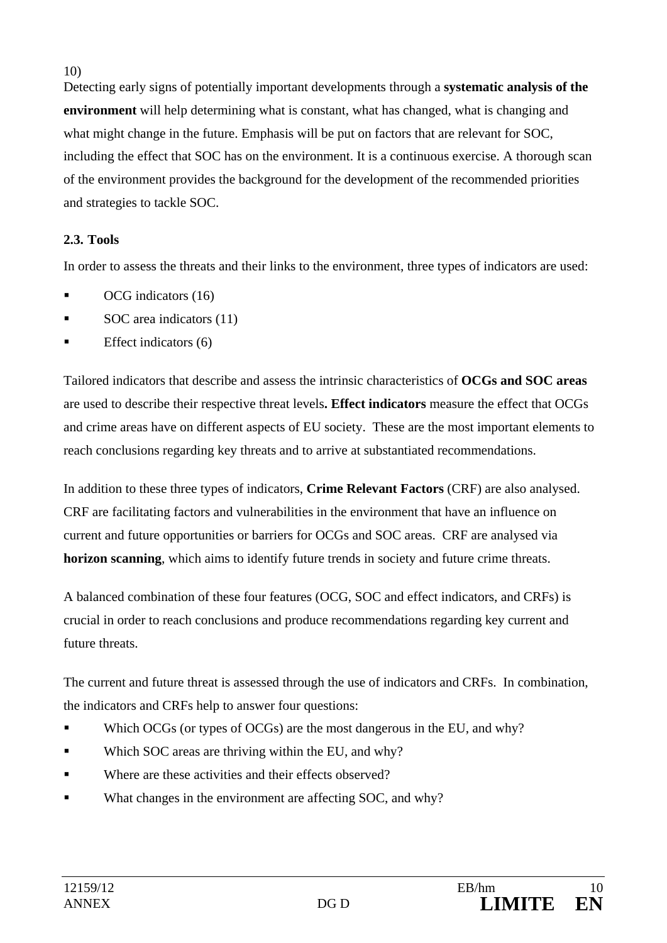10)

Detecting early signs of potentially important developments through a **systematic analysis of the environment** will help determining what is constant, what has changed, what is changing and what might change in the future. Emphasis will be put on factors that are relevant for SOC, including the effect that SOC has on the environment. It is a continuous exercise. A thorough scan of the environment provides the background for the development of the recommended priorities and strategies to tackle SOC.

## **2.3. Tools**

In order to assess the threats and their links to the environment, three types of indicators are used:

- OCG indicators (16)
- SOC area indicators (11)
- Effect indicators (6)

Tailored indicators that describe and assess the intrinsic characteristics of **OCGs and SOC areas** are used to describe their respective threat levels**. Effect indicators** measure the effect that OCGs and crime areas have on different aspects of EU society. These are the most important elements to reach conclusions regarding key threats and to arrive at substantiated recommendations.

In addition to these three types of indicators, **Crime Relevant Factors** (CRF) are also analysed. CRF are facilitating factors and vulnerabilities in the environment that have an influence on current and future opportunities or barriers for OCGs and SOC areas. CRF are analysed via **horizon scanning**, which aims to identify future trends in society and future crime threats.

A balanced combination of these four features (OCG, SOC and effect indicators, and CRFs) is crucial in order to reach conclusions and produce recommendations regarding key current and future threats.

The current and future threat is assessed through the use of indicators and CRFs. In combination, the indicators and CRFs help to answer four questions:

- Which OCGs (or types of OCGs) are the most dangerous in the EU, and why?
- Which SOC areas are thriving within the EU, and why?
- Where are these activities and their effects observed?
- What changes in the environment are affecting SOC, and why?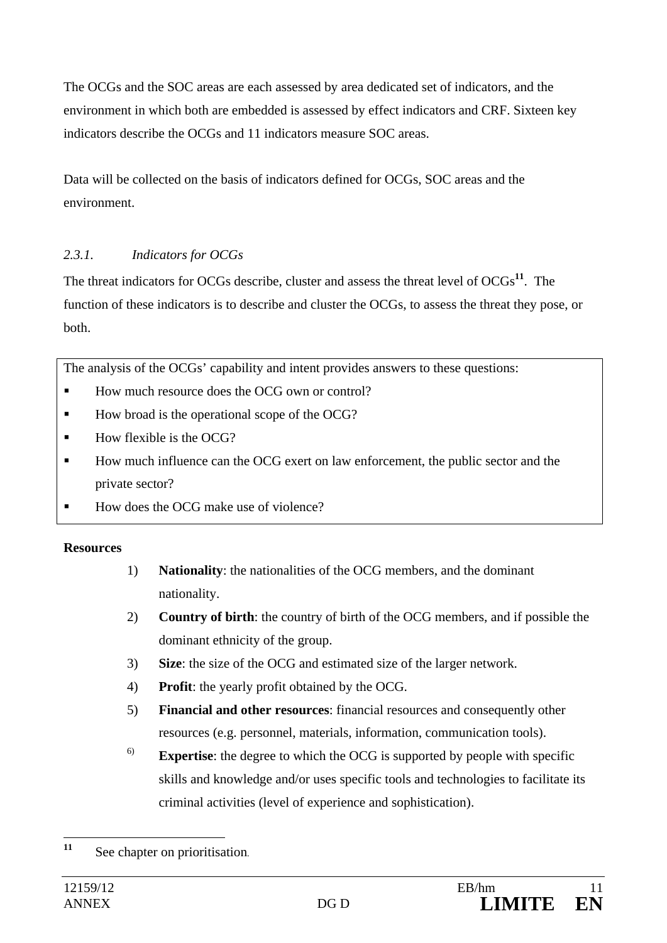The OCGs and the SOC areas are each assessed by area dedicated set of indicators, and the environment in which both are embedded is assessed by effect indicators and CRF. Sixteen key indicators describe the OCGs and 11 indicators measure SOC areas.

Data will be collected on the basis of indicators defined for OCGs, SOC areas and the environment.

### *2.3.1. Indicators for OCGs*

The threat indicators for OCGs describe, cluster and assess the threat level of OCGs**<sup>11</sup>**. The function of these indicators is to describe and cluster the OCGs, to assess the threat they pose, or both.

The analysis of the OCGs' capability and intent provides answers to these questions:

- How much resource does the OCG own or control?
- How broad is the operational scope of the OCG?
- $\blacksquare$  How flexible is the OCG?
- How much influence can the OCG exert on law enforcement, the public sector and the private sector?
- How does the OCG make use of violence?

### **Resources**

- 1) **Nationality**: the nationalities of the OCG members, and the dominant nationality.
- 2) **Country of birth**: the country of birth of the OCG members, and if possible the dominant ethnicity of the group.
- 3) **Size**: the size of the OCG and estimated size of the larger network.
- 4) **Profit**: the yearly profit obtained by the OCG.
- 5) **Financial and other resources**: financial resources and consequently other resources (e.g. personnel, materials, information, communication tools).
- 6) **Expertise**: the degree to which the OCG is supported by people with specific skills and knowledge and/or uses specific tools and technologies to facilitate its criminal activities (level of experience and sophistication).

<sup>11</sup> See chapter on prioritisation.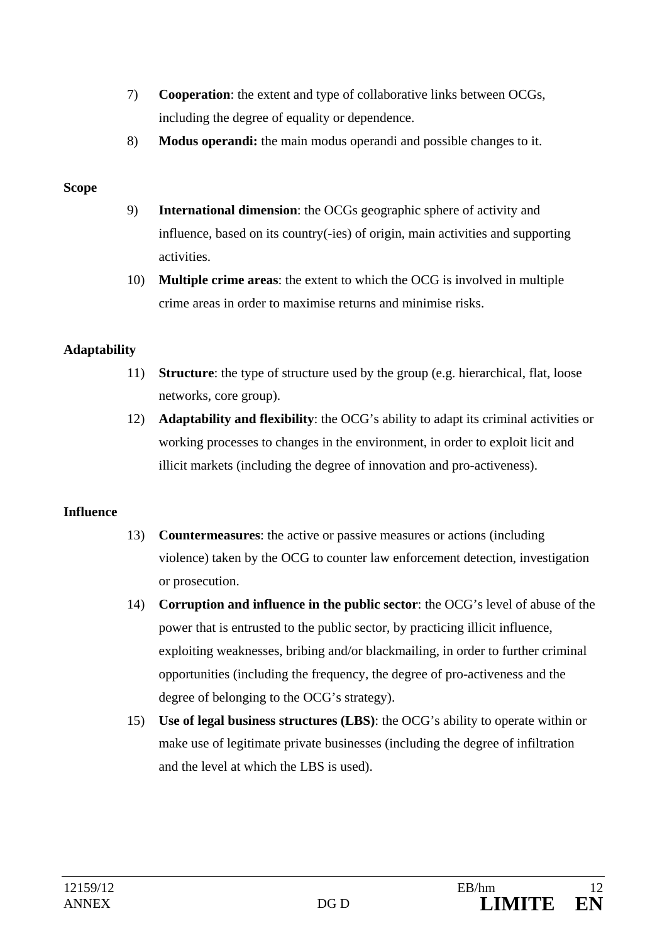- 7) **Cooperation**: the extent and type of collaborative links between OCGs, including the degree of equality or dependence.
- 8) **Modus operandi:** the main modus operandi and possible changes to it.

#### **Scope**

- 9) **International dimension**: the OCGs geographic sphere of activity and influence, based on its country(-ies) of origin, main activities and supporting activities.
- 10) **Multiple crime areas**: the extent to which the OCG is involved in multiple crime areas in order to maximise returns and minimise risks.

### **Adaptability**

- 11) **Structure**: the type of structure used by the group (e.g. hierarchical, flat, loose networks, core group).
- 12) **Adaptability and flexibility**: the OCG's ability to adapt its criminal activities or working processes to changes in the environment, in order to exploit licit and illicit markets (including the degree of innovation and pro-activeness).

### **Influence**

- 13) **Countermeasures**: the active or passive measures or actions (including violence) taken by the OCG to counter law enforcement detection, investigation or prosecution.
- 14) **Corruption and influence in the public sector**: the OCG's level of abuse of the power that is entrusted to the public sector, by practicing illicit influence, exploiting weaknesses, bribing and/or blackmailing, in order to further criminal opportunities (including the frequency, the degree of pro-activeness and the degree of belonging to the OCG's strategy).
- 15) **Use of legal business structures (LBS)**: the OCG's ability to operate within or make use of legitimate private businesses (including the degree of infiltration and the level at which the LBS is used).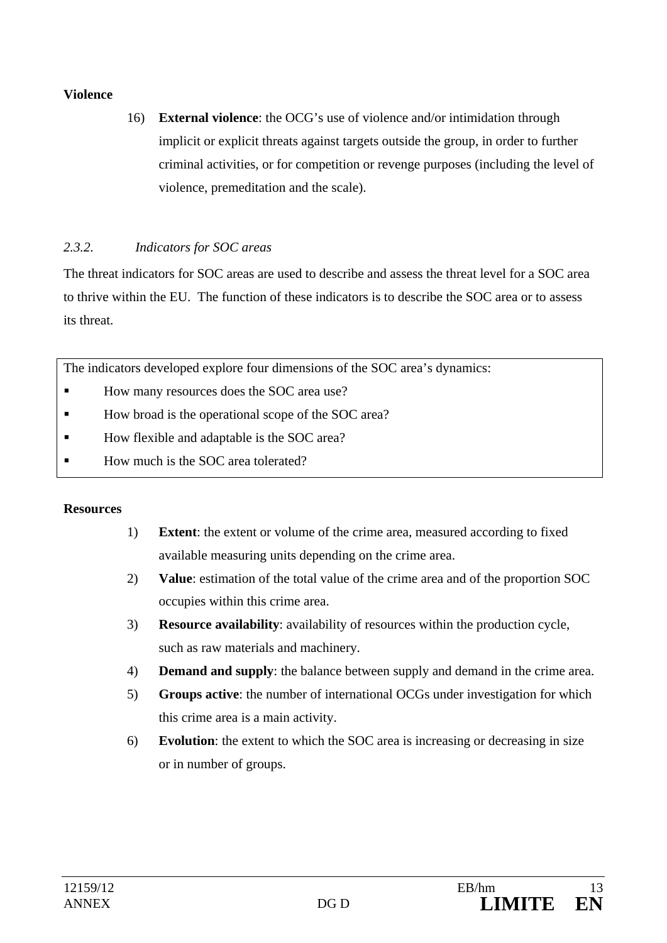#### **Violence**

16) **External violence**: the OCG's use of violence and/or intimidation through implicit or explicit threats against targets outside the group, in order to further criminal activities, or for competition or revenge purposes (including the level of violence, premeditation and the scale).

## *2.3.2. Indicators for SOC areas*

The threat indicators for SOC areas are used to describe and assess the threat level for a SOC area to thrive within the EU. The function of these indicators is to describe the SOC area or to assess its threat.

The indicators developed explore four dimensions of the SOC area's dynamics:

- How many resources does the SOC area use?
- How broad is the operational scope of the SOC area?
- How flexible and adaptable is the SOC area?
- How much is the SOC area tolerated?

### **Resources**

- 1) **Extent**: the extent or volume of the crime area, measured according to fixed available measuring units depending on the crime area.
- 2) **Value**: estimation of the total value of the crime area and of the proportion SOC occupies within this crime area.
- 3) **Resource availability**: availability of resources within the production cycle, such as raw materials and machinery.
- 4) **Demand and supply**: the balance between supply and demand in the crime area.
- 5) **Groups active**: the number of international OCGs under investigation for which this crime area is a main activity.
- 6) **Evolution**: the extent to which the SOC area is increasing or decreasing in size or in number of groups.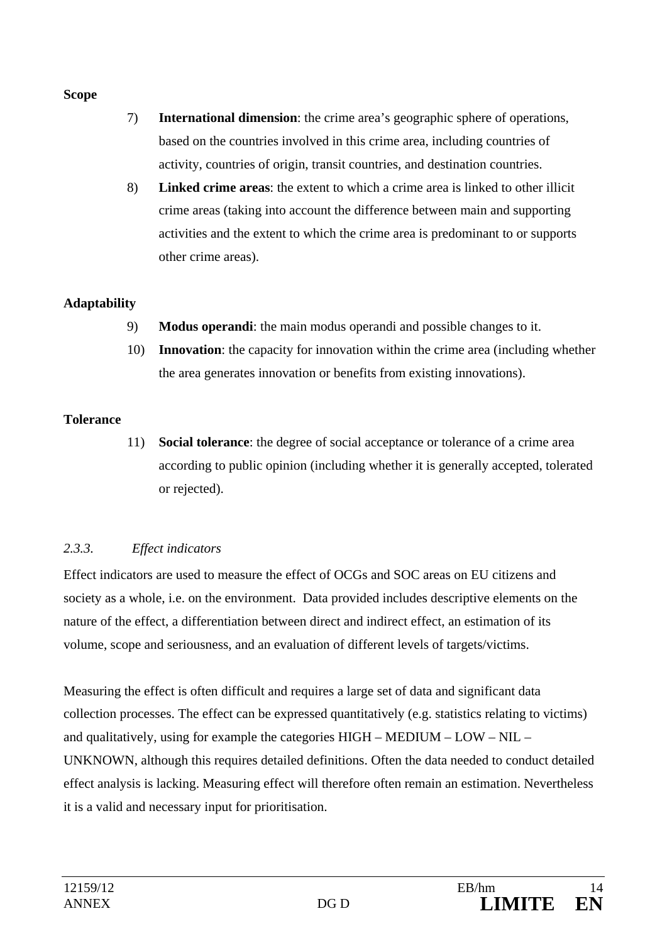#### **Scope**

- 7) **International dimension**: the crime area's geographic sphere of operations, based on the countries involved in this crime area, including countries of activity, countries of origin, transit countries, and destination countries.
- 8) **Linked crime areas**: the extent to which a crime area is linked to other illicit crime areas (taking into account the difference between main and supporting activities and the extent to which the crime area is predominant to or supports other crime areas).

### **Adaptability**

- 9) **Modus operandi**: the main modus operandi and possible changes to it.
- 10) **Innovation**: the capacity for innovation within the crime area (including whether the area generates innovation or benefits from existing innovations).

#### **Tolerance**

11) **Social tolerance**: the degree of social acceptance or tolerance of a crime area according to public opinion (including whether it is generally accepted, tolerated or rejected).

### *2.3.3. Effect indicators*

Effect indicators are used to measure the effect of OCGs and SOC areas on EU citizens and society as a whole, i.e. on the environment. Data provided includes descriptive elements on the nature of the effect, a differentiation between direct and indirect effect, an estimation of its volume, scope and seriousness, and an evaluation of different levels of targets/victims.

Measuring the effect is often difficult and requires a large set of data and significant data collection processes. The effect can be expressed quantitatively (e.g. statistics relating to victims) and qualitatively, using for example the categories HIGH – MEDIUM – LOW – NIL – UNKNOWN, although this requires detailed definitions. Often the data needed to conduct detailed effect analysis is lacking. Measuring effect will therefore often remain an estimation. Nevertheless it is a valid and necessary input for prioritisation.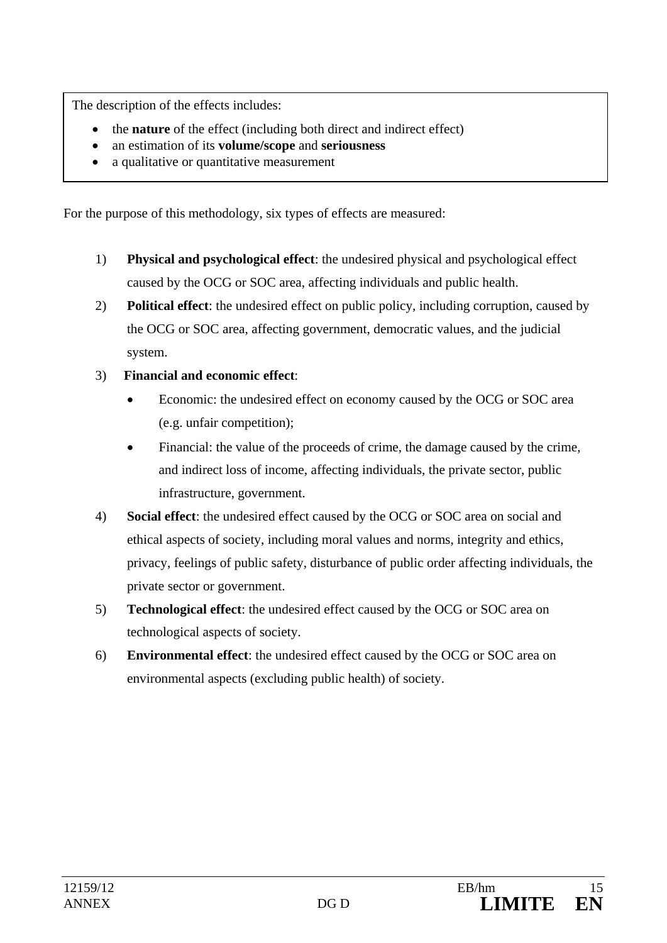The description of the effects includes:

- the **nature** of the effect (including both direct and indirect effect)
- an estimation of its **volume/scope** and **seriousness**
- a qualitative or quantitative measurement

For the purpose of this methodology, six types of effects are measured:

- 1) **Physical and psychological effect**: the undesired physical and psychological effect caused by the OCG or SOC area, affecting individuals and public health.
- 2) **Political effect**: the undesired effect on public policy, including corruption, caused by the OCG or SOC area, affecting government, democratic values, and the judicial system.
- 3) **Financial and economic effect**:
	- Economic: the undesired effect on economy caused by the OCG or SOC area (e.g. unfair competition);
	- Financial: the value of the proceeds of crime, the damage caused by the crime, and indirect loss of income, affecting individuals, the private sector, public infrastructure, government.
- 4) **Social effect**: the undesired effect caused by the OCG or SOC area on social and ethical aspects of society, including moral values and norms, integrity and ethics, privacy, feelings of public safety, disturbance of public order affecting individuals, the private sector or government.
- 5) **Technological effect**: the undesired effect caused by the OCG or SOC area on technological aspects of society.
- 6) **Environmental effect**: the undesired effect caused by the OCG or SOC area on environmental aspects (excluding public health) of society.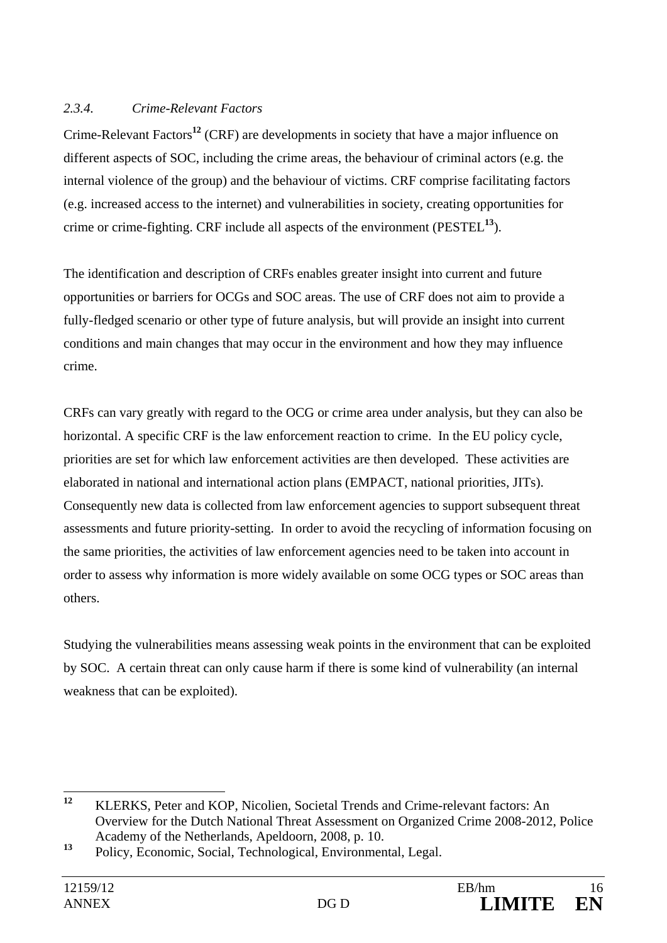### *2.3.4. Crime-Relevant Factors*

Crime-Relevant Factors**<sup>12</sup>** (CRF) are developments in society that have a major influence on different aspects of SOC, including the crime areas, the behaviour of criminal actors (e.g. the internal violence of the group) and the behaviour of victims. CRF comprise facilitating factors (e.g. increased access to the internet) and vulnerabilities in society, creating opportunities for crime or crime-fighting. CRF include all aspects of the environment (PESTEL**<sup>13</sup>**).

The identification and description of CRFs enables greater insight into current and future opportunities or barriers for OCGs and SOC areas. The use of CRF does not aim to provide a fully-fledged scenario or other type of future analysis, but will provide an insight into current conditions and main changes that may occur in the environment and how they may influence crime.

CRFs can vary greatly with regard to the OCG or crime area under analysis, but they can also be horizontal. A specific CRF is the law enforcement reaction to crime. In the EU policy cycle, priorities are set for which law enforcement activities are then developed. These activities are elaborated in national and international action plans (EMPACT, national priorities, JITs). Consequently new data is collected from law enforcement agencies to support subsequent threat assessments and future priority-setting. In order to avoid the recycling of information focusing on the same priorities, the activities of law enforcement agencies need to be taken into account in order to assess why information is more widely available on some OCG types or SOC areas than others.

Studying the vulnerabilities means assessing weak points in the environment that can be exploited by SOC. A certain threat can only cause harm if there is some kind of vulnerability (an internal weakness that can be exploited).

 $12$ **<sup>12</sup>** KLERKS, Peter and KOP, Nicolien, Societal Trends and Crime-relevant factors: An Overview for the Dutch National Threat Assessment on Organized Crime 2008-2012, Police Academy of the Netherlands, Apeldoorn, 2008, p. 10.

**<sup>13</sup>** Policy, Economic, Social, Technological, Environmental, Legal.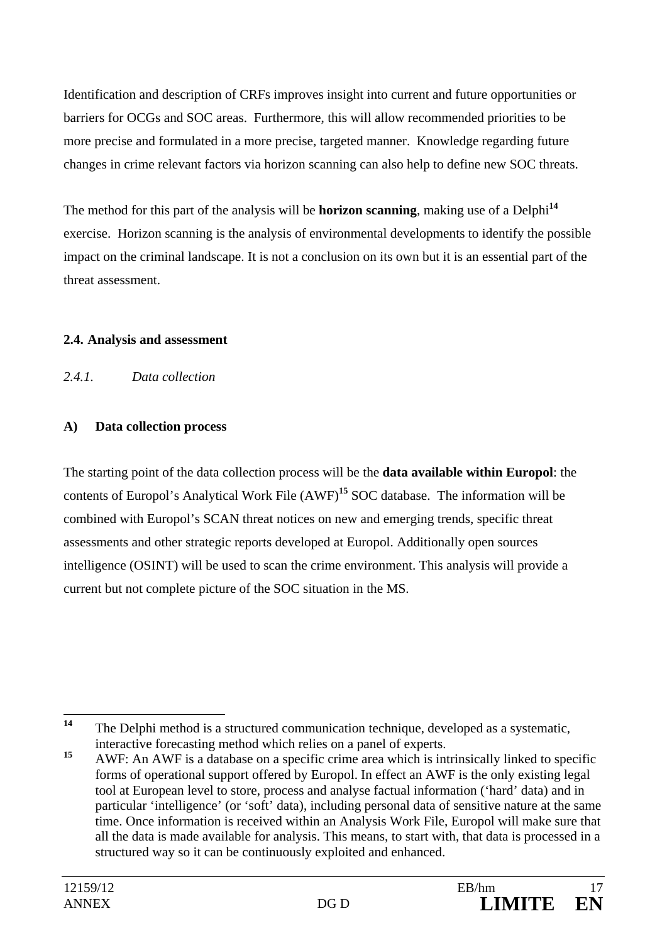Identification and description of CRFs improves insight into current and future opportunities or barriers for OCGs and SOC areas. Furthermore, this will allow recommended priorities to be more precise and formulated in a more precise, targeted manner. Knowledge regarding future changes in crime relevant factors via horizon scanning can also help to define new SOC threats.

The method for this part of the analysis will be **horizon scanning**, making use of a Delphi**<sup>14</sup>** exercise. Horizon scanning is the analysis of environmental developments to identify the possible impact on the criminal landscape. It is not a conclusion on its own but it is an essential part of the threat assessment.

### **2.4. Analysis and assessment**

*2.4.1. Data collection* 

### **A) Data collection process**

The starting point of the data collection process will be the **data available within Europol**: the contents of Europol's Analytical Work File (AWF)**<sup>15</sup>** SOC database. The information will be combined with Europol's SCAN threat notices on new and emerging trends, specific threat assessments and other strategic reports developed at Europol. Additionally open sources intelligence (OSINT) will be used to scan the crime environment. This analysis will provide a current but not complete picture of the SOC situation in the MS.

 $14$ **<sup>14</sup>** The Delphi method is a structured communication technique, developed as a systematic, interactive forecasting method which relies on a panel of experts.

<sup>&</sup>lt;sup>15</sup> AWF: An AWF is a database on a specific crime area which is intrinsically linked to specific forms of operational support offered by Europol. In effect an AWF is the only existing legal tool at European level to store, process and analyse factual information ('hard' data) and in particular 'intelligence' (or 'soft' data), including personal data of sensitive nature at the same time. Once information is received within an Analysis Work File, Europol will make sure that all the data is made available for analysis. This means, to start with, that data is processed in a structured way so it can be continuously exploited and enhanced.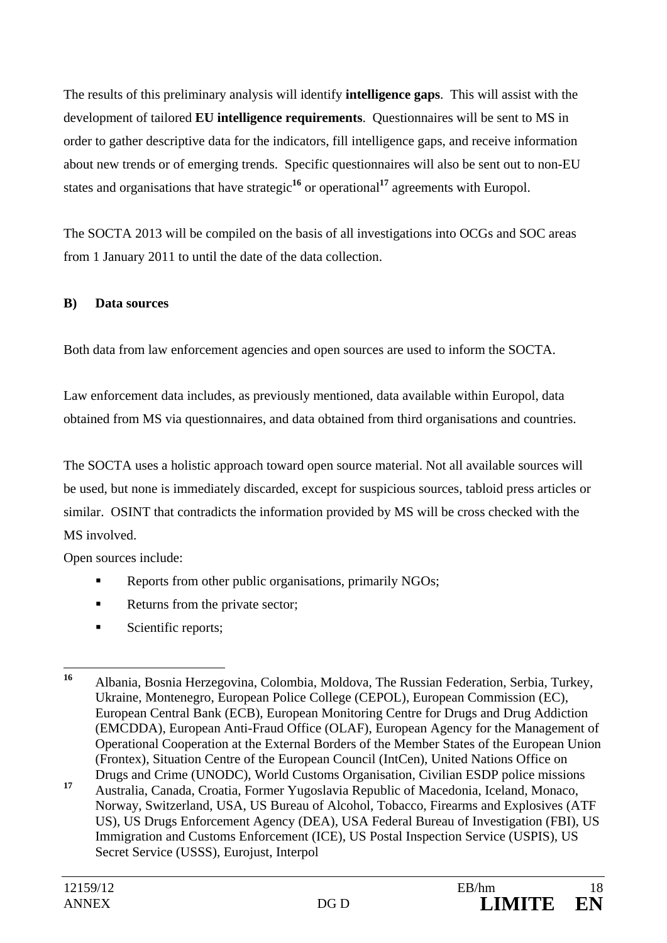The results of this preliminary analysis will identify **intelligence gaps**. This will assist with the development of tailored **EU intelligence requirements**. Questionnaires will be sent to MS in order to gather descriptive data for the indicators, fill intelligence gaps, and receive information about new trends or of emerging trends. Specific questionnaires will also be sent out to non-EU states and organisations that have strategic**<sup>16</sup>** or operational**<sup>17</sup>** agreements with Europol.

The SOCTA 2013 will be compiled on the basis of all investigations into OCGs and SOC areas from 1 January 2011 to until the date of the data collection.

#### **B) Data sources**

Both data from law enforcement agencies and open sources are used to inform the SOCTA.

Law enforcement data includes, as previously mentioned, data available within Europol, data obtained from MS via questionnaires, and data obtained from third organisations and countries.

The SOCTA uses a holistic approach toward open source material. Not all available sources will be used, but none is immediately discarded, except for suspicious sources, tabloid press articles or similar. OSINT that contradicts the information provided by MS will be cross checked with the MS involved.

Open sources include:

- Reports from other public organisations, primarily NGOs;
- Returns from the private sector;
- Scientific reports;

 $16$ **<sup>16</sup>** Albania, Bosnia Herzegovina, Colombia, Moldova, The Russian Federation, Serbia, Turkey, Ukraine, Montenegro, European Police College (CEPOL), European Commission (EC), European Central Bank (ECB), European Monitoring Centre for Drugs and Drug Addiction (EMCDDA), European Anti-Fraud Office (OLAF), European Agency for the Management of Operational Cooperation at the External Borders of the Member States of the European Union (Frontex), Situation Centre of the European Council (IntCen), United Nations Office on Drugs and Crime (UNODC), World Customs Organisation, Civilian ESDP police missions

**<sup>17</sup>** Australia, Canada, Croatia, Former Yugoslavia Republic of Macedonia, Iceland, Monaco, Norway, Switzerland, USA, US Bureau of Alcohol, Tobacco, Firearms and Explosives (ATF US), US Drugs Enforcement Agency (DEA), USA Federal Bureau of Investigation (FBI), US Immigration and Customs Enforcement (ICE), US Postal Inspection Service (USPIS), US Secret Service (USSS), Eurojust, Interpol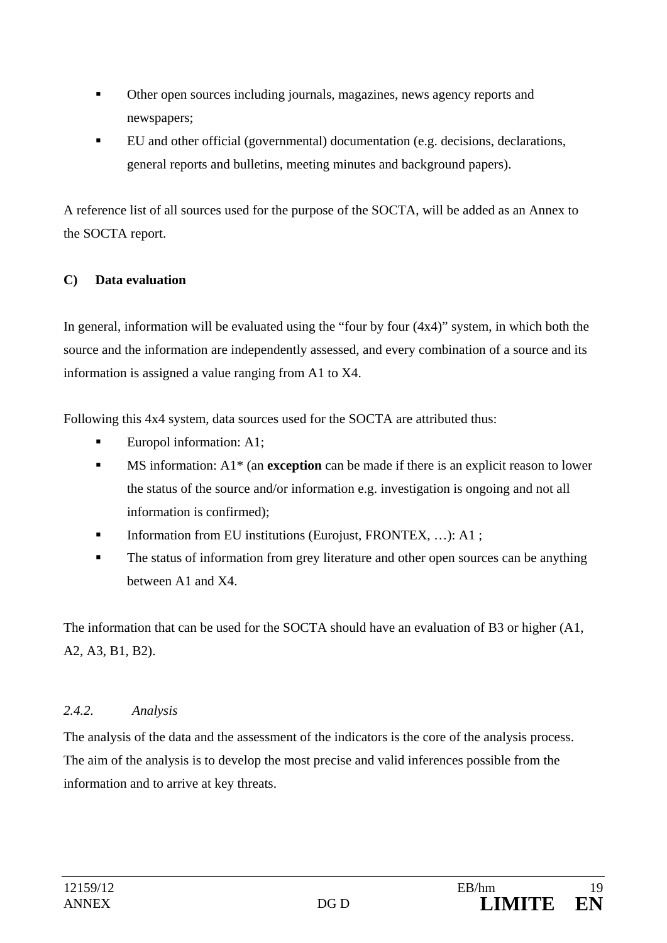- Other open sources including journals, magazines, news agency reports and newspapers;
- EU and other official (governmental) documentation (e.g. decisions, declarations, general reports and bulletins, meeting minutes and background papers).

A reference list of all sources used for the purpose of the SOCTA, will be added as an Annex to the SOCTA report.

## **C) Data evaluation**

In general, information will be evaluated using the "four by four  $(4x4)$ " system, in which both the source and the information are independently assessed, and every combination of a source and its information is assigned a value ranging from A1 to X4.

Following this 4x4 system, data sources used for the SOCTA are attributed thus:

- Europol information: A1;
- MS information: A1\* (an **exception** can be made if there is an explicit reason to lower the status of the source and/or information e.g. investigation is ongoing and not all information is confirmed);
- Information from EU institutions (Eurojust, FRONTEX, …): A1 ;
- The status of information from grey literature and other open sources can be anything between A1 and X4.

The information that can be used for the SOCTA should have an evaluation of B3 or higher (A1, A2, A3, B1, B2).

## *2.4.2. Analysis*

The analysis of the data and the assessment of the indicators is the core of the analysis process. The aim of the analysis is to develop the most precise and valid inferences possible from the information and to arrive at key threats.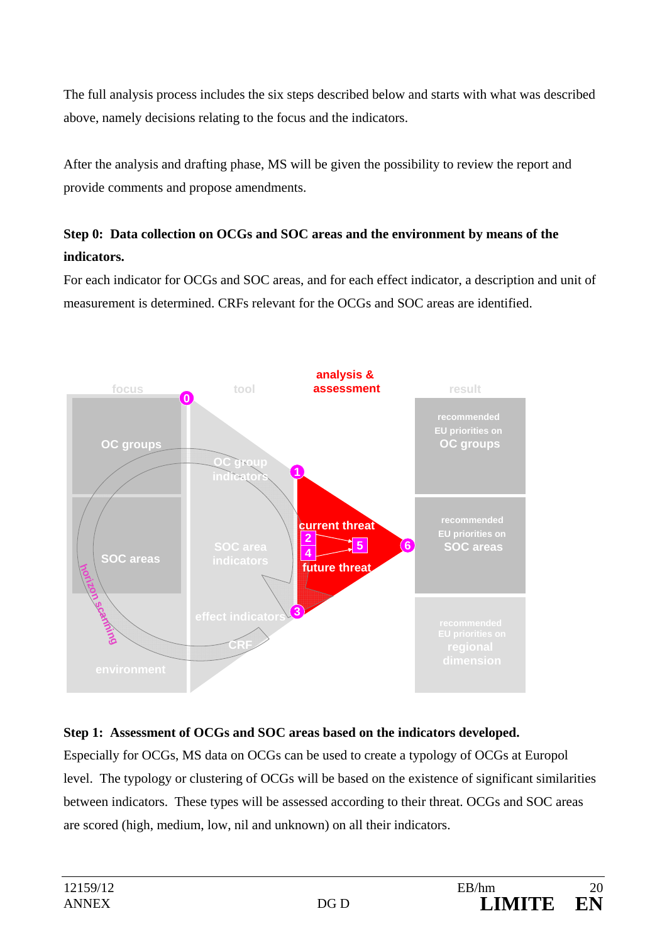The full analysis process includes the six steps described below and starts with what was described above, namely decisions relating to the focus and the indicators.

After the analysis and drafting phase, MS will be given the possibility to review the report and provide comments and propose amendments.

# **Step 0: Data collection on OCGs and SOC areas and the environment by means of the indicators.**

For each indicator for OCGs and SOC areas, and for each effect indicator, a description and unit of measurement is determined. CRFs relevant for the OCGs and SOC areas are identified.



### **Step 1: Assessment of OCGs and SOC areas based on the indicators developed.**

Especially for OCGs, MS data on OCGs can be used to create a typology of OCGs at Europol level. The typology or clustering of OCGs will be based on the existence of significant similarities between indicators. These types will be assessed according to their threat. OCGs and SOC areas are scored (high, medium, low, nil and unknown) on all their indicators.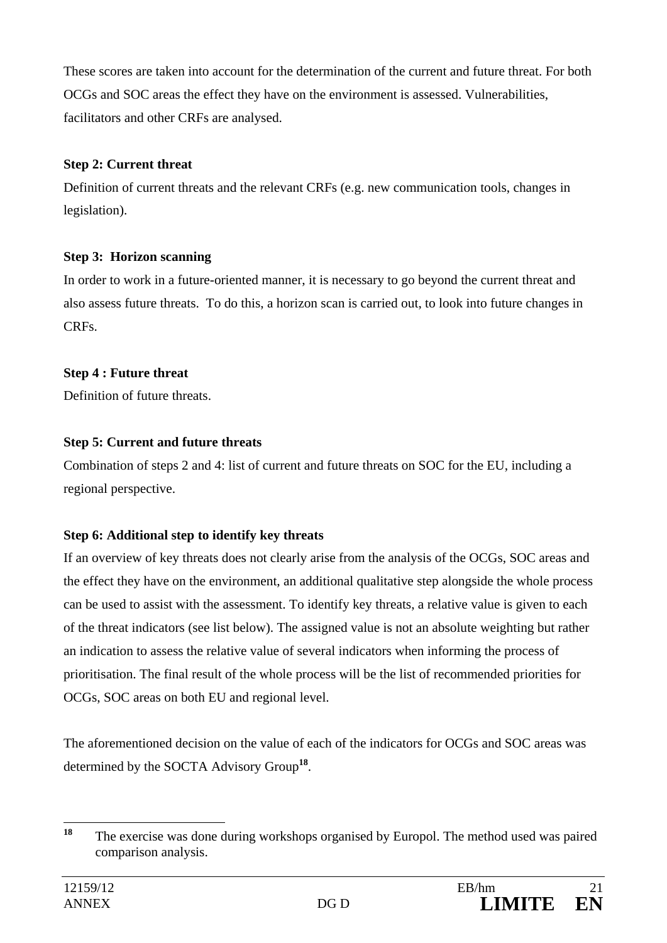These scores are taken into account for the determination of the current and future threat. For both OCGs and SOC areas the effect they have on the environment is assessed. Vulnerabilities, facilitators and other CRFs are analysed.

### **Step 2: Current threat**

Definition of current threats and the relevant CRFs (e.g. new communication tools, changes in legislation).

## **Step 3: Horizon scanning**

In order to work in a future-oriented manner, it is necessary to go beyond the current threat and also assess future threats. To do this, a horizon scan is carried out, to look into future changes in CRFs.

## **Step 4 : Future threat**

Definition of future threats.

# **Step 5: Current and future threats**

Combination of steps 2 and 4: list of current and future threats on SOC for the EU, including a regional perspective.

# **Step 6: Additional step to identify key threats**

If an overview of key threats does not clearly arise from the analysis of the OCGs, SOC areas and the effect they have on the environment, an additional qualitative step alongside the whole process can be used to assist with the assessment. To identify key threats, a relative value is given to each of the threat indicators (see list below). The assigned value is not an absolute weighting but rather an indication to assess the relative value of several indicators when informing the process of prioritisation. The final result of the whole process will be the list of recommended priorities for OCGs, SOC areas on both EU and regional level.

The aforementioned decision on the value of each of the indicators for OCGs and SOC areas was determined by the SOCTA Advisory Group**<sup>18</sup>**.

 $18$ The exercise was done during workshops organised by Europol. The method used was paired comparison analysis.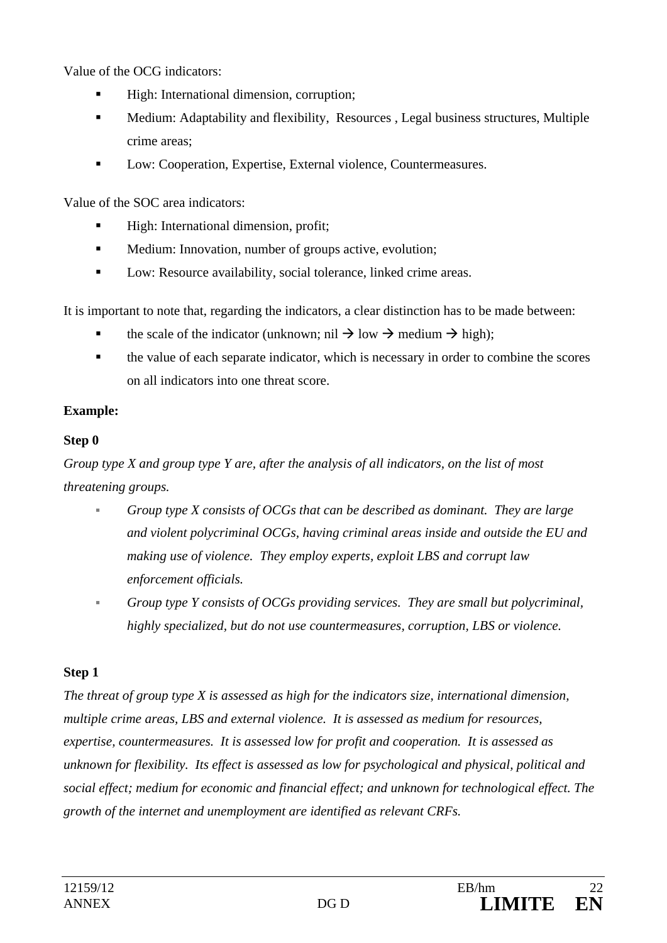Value of the OCG indicators:

- High: International dimension, corruption;
- Medium: Adaptability and flexibility, Resources , Legal business structures, Multiple crime areas;
- Low: Cooperation, Expertise, External violence, Countermeasures.

Value of the SOC area indicators:

- High: International dimension, profit;
- **Medium:** Innovation, number of groups active, evolution;
- **Low: Resource availability, social tolerance, linked crime areas.**

It is important to note that, regarding the indicators, a clear distinction has to be made between:

- the scale of the indicator (unknown; nil  $\rightarrow$  low  $\rightarrow$  medium  $\rightarrow$  high);
- the value of each separate indicator, which is necessary in order to combine the scores on all indicators into one threat score.

## **Example:**

## **Step 0**

*Group type X and group type Y are, after the analysis of all indicators, on the list of most threatening groups.* 

- *Group type X consists of OCGs that can be described as dominant. They are large and violent polycriminal OCGs, having criminal areas inside and outside the EU and making use of violence. They employ experts, exploit LBS and corrupt law enforcement officials.*
- *Group type Y consists of OCGs providing services. They are small but polycriminal, highly specialized, but do not use countermeasures, corruption, LBS or violence.*

## **Step 1**

*The threat of group type X is assessed as high for the indicators size, international dimension, multiple crime areas, LBS and external violence. It is assessed as medium for resources, expertise, countermeasures. It is assessed low for profit and cooperation. It is assessed as unknown for flexibility. Its effect is assessed as low for psychological and physical, political and social effect; medium for economic and financial effect; and unknown for technological effect. The growth of the internet and unemployment are identified as relevant CRFs.*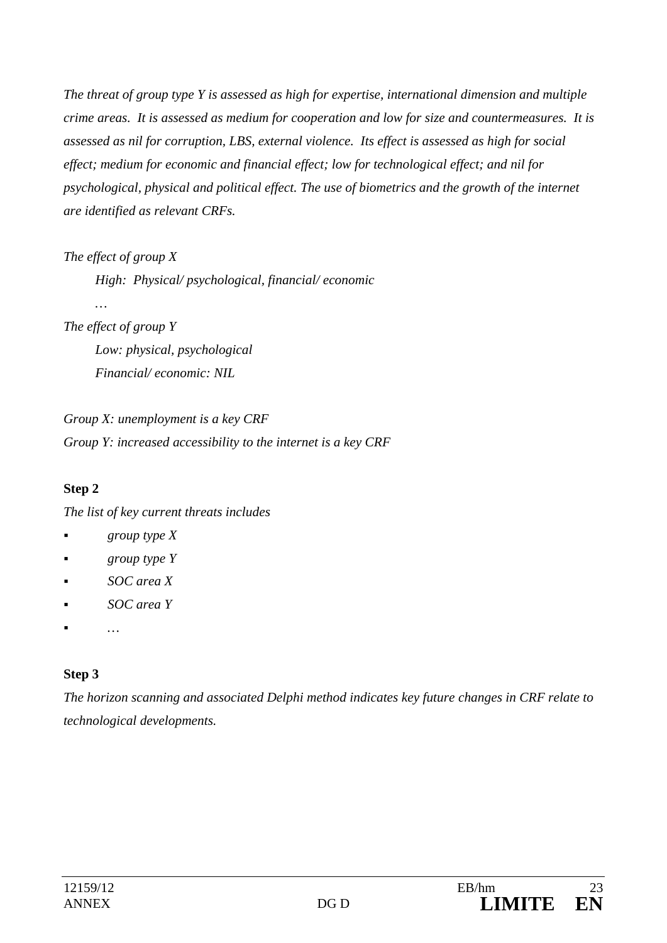*The threat of group type Y is assessed as high for expertise, international dimension and multiple crime areas. It is assessed as medium for cooperation and low for size and countermeasures. It is assessed as nil for corruption, LBS, external violence. Its effect is assessed as high for social effect; medium for economic and financial effect; low for technological effect; and nil for psychological, physical and political effect. The use of biometrics and the growth of the internet are identified as relevant CRFs.* 

*The effect of group X* 

 *High: Physical/ psychological, financial/ economic* 

*The effect of group Y* 

 *…* 

 *Low: physical, psychological Financial/ economic: NIL* 

*Group X: unemployment is a key CRF Group Y: increased accessibility to the internet is a key CRF* 

### **Step 2**

*The list of key current threats includes* 

- *group type X*
- *group type Y*
- *SOC area X*
- *SOC area Y*
- *…*

# **Step 3**

*The horizon scanning and associated Delphi method indicates key future changes in CRF relate to technological developments.*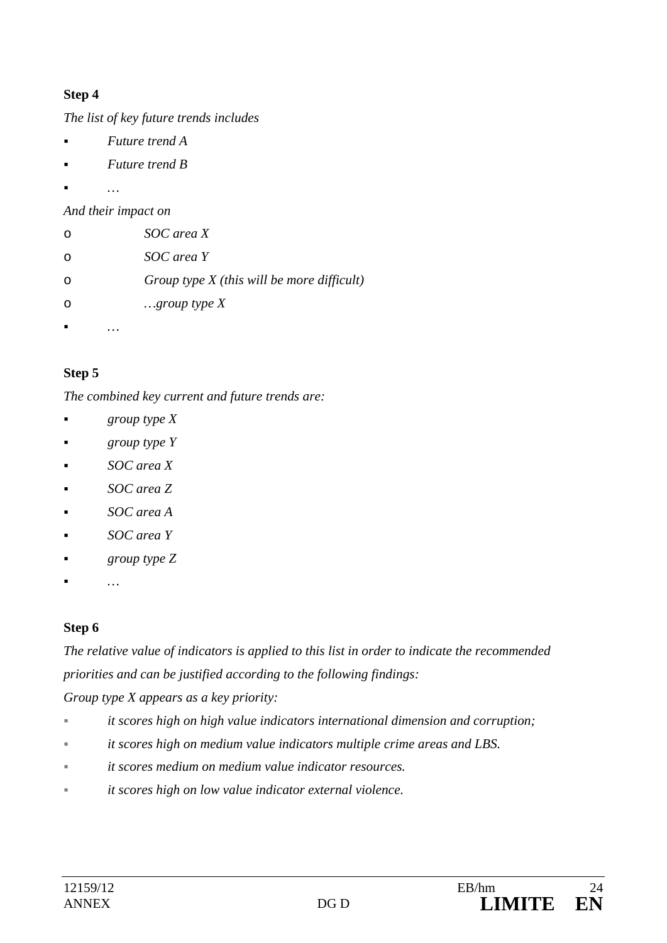### **Step 4**

*The list of key future trends includes* 

- *Future trend A*
- *Future trend B*
- *…*

*And their impact on* 

| $\circ$ | SOC area X                                   |
|---------|----------------------------------------------|
| $\circ$ | SOC area Y                                   |
| $\circ$ | Group type $X$ (this will be more difficult) |
| $\circ$ | $\ldots$ group type X                        |
|         |                                              |

## **Step 5**

*The combined key current and future trends are:* 

- *group type X*
- *group type Y*
- *SOC area X*
- *SOC area Z*
- *SOC area A*
- *SOC area Y*
- *group type Z*
- *…*

# **Step 6**

*The relative value of indicators is applied to this list in order to indicate the recommended priorities and can be justified according to the following findings:* 

*Group type X appears as a key priority:* 

- *it scores high on high value indicators international dimension and corruption;*
- *it scores high on medium value indicators multiple crime areas and LBS.*
- *it scores medium on medium value indicator resources.*
- *it scores high on low value indicator external violence.*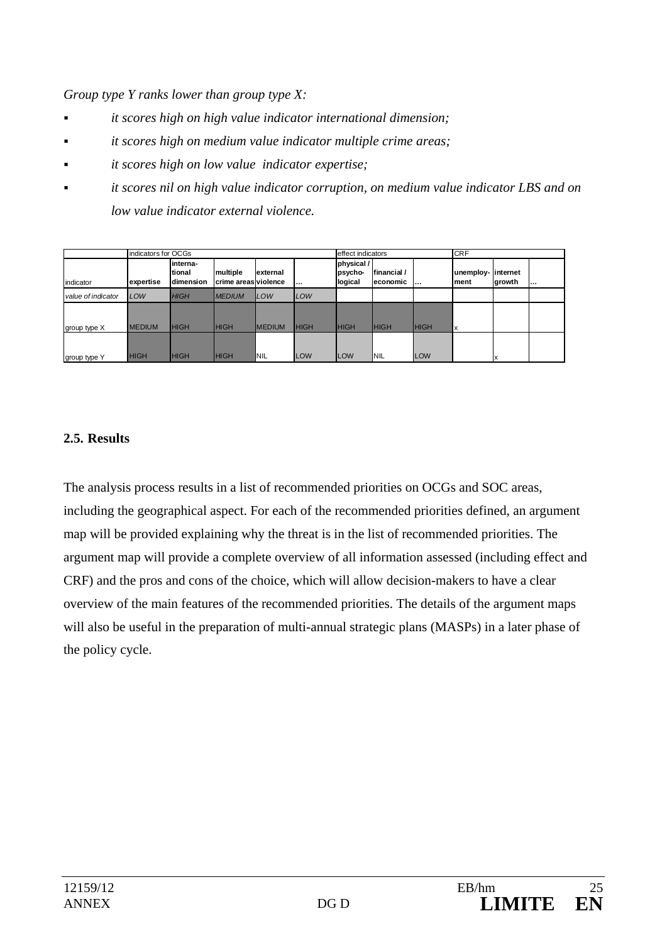*Group type Y ranks lower than group type X:* 

- *it scores high on high value indicator international dimension;*
- *it scores high on medium value indicator multiple crime areas;*
- *it scores high on low value indicator expertise;*
- *it scores nil on high value indicator corruption, on medium value indicator LBS and on low value indicator external violence.*

|                    | indicators for OCGs |                                           |                                                   |                |             | effect indicators                |                          |             | <b>CRF</b>                  |        |  |
|--------------------|---------------------|-------------------------------------------|---------------------------------------------------|----------------|-------------|----------------------------------|--------------------------|-------------|-----------------------------|--------|--|
| indicator          | expertise           | linterna-<br>Itional<br><b>Idimension</b> | <b>Imultiple</b><br><b>I</b> crime areasiviolence | lexternal      |             | physical /<br>psycho-<br>logical | Ifinancial/<br>leconomic |             | unemploy-linternet<br>lment | growth |  |
| value of indicator | LOW                 | <b>HIGH</b>                               | <b>MEDIUM</b>                                     | <b>LOW</b>     | LOW         |                                  |                          |             |                             |        |  |
| group type X       | <b>MEDIUM</b>       | <b>HIGH</b>                               | <b>HIGH</b>                                       | <b>IMEDIUM</b> | <b>HIGH</b> | <b>HIGH</b>                      | <b>HIGH</b>              | <b>HIGH</b> |                             |        |  |
| group type Y       | <b>HIGH</b>         | <b>HIGH</b>                               | <b>HIGH</b>                                       | <b>NIL</b>     | <b>LOW</b>  | <b>LOW</b>                       | INIL                     | <b>LOW</b>  |                             | ΙX     |  |

#### **2.5. Results**

The analysis process results in a list of recommended priorities on OCGs and SOC areas, including the geographical aspect. For each of the recommended priorities defined, an argument map will be provided explaining why the threat is in the list of recommended priorities. The argument map will provide a complete overview of all information assessed (including effect and CRF) and the pros and cons of the choice, which will allow decision-makers to have a clear overview of the main features of the recommended priorities. The details of the argument maps will also be useful in the preparation of multi-annual strategic plans (MASPs) in a later phase of the policy cycle.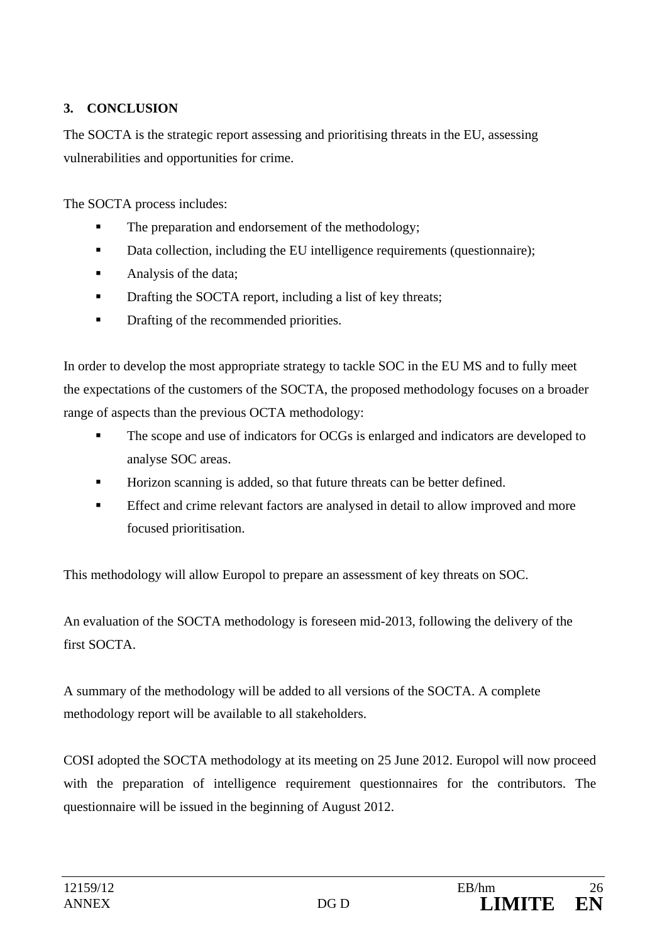## **3. CONCLUSION**

The SOCTA is the strategic report assessing and prioritising threats in the EU, assessing vulnerabilities and opportunities for crime.

The SOCTA process includes:

- The preparation and endorsement of the methodology;
- Data collection, including the EU intelligence requirements (questionnaire);
- Analysis of the data;
- **•** Drafting the SOCTA report, including a list of key threats;
- Drafting of the recommended priorities.

In order to develop the most appropriate strategy to tackle SOC in the EU MS and to fully meet the expectations of the customers of the SOCTA, the proposed methodology focuses on a broader range of aspects than the previous OCTA methodology:

- The scope and use of indicators for OCGs is enlarged and indicators are developed to analyse SOC areas.
- Horizon scanning is added, so that future threats can be better defined.
- **Effect and crime relevant factors are analysed in detail to allow improved and more** focused prioritisation.

This methodology will allow Europol to prepare an assessment of key threats on SOC.

An evaluation of the SOCTA methodology is foreseen mid-2013, following the delivery of the first SOCTA.

A summary of the methodology will be added to all versions of the SOCTA. A complete methodology report will be available to all stakeholders.

COSI adopted the SOCTA methodology at its meeting on 25 June 2012. Europol will now proceed with the preparation of intelligence requirement questionnaires for the contributors. The questionnaire will be issued in the beginning of August 2012.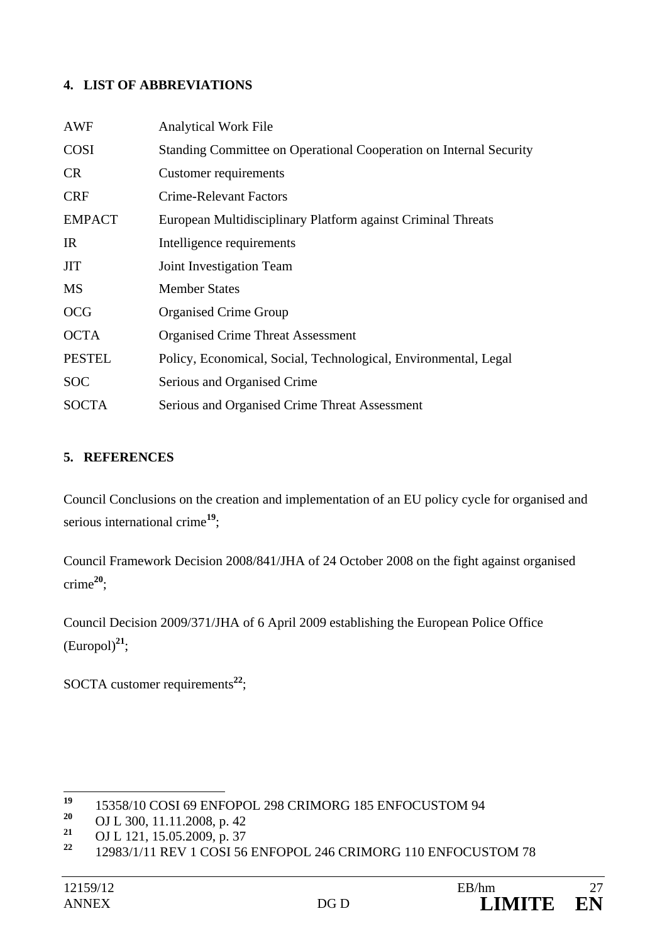#### **4. LIST OF ABBREVIATIONS**

| AWF           | <b>Analytical Work File</b>                                        |
|---------------|--------------------------------------------------------------------|
| <b>COSI</b>   | Standing Committee on Operational Cooperation on Internal Security |
| <b>CR</b>     | <b>Customer requirements</b>                                       |
| <b>CRF</b>    | Crime-Relevant Factors                                             |
| <b>EMPACT</b> | European Multidisciplinary Platform against Criminal Threats       |
| IR            | Intelligence requirements                                          |
| <b>JIT</b>    | Joint Investigation Team                                           |
| <b>MS</b>     | <b>Member States</b>                                               |
| <b>OCG</b>    | <b>Organised Crime Group</b>                                       |
| <b>OCTA</b>   | <b>Organised Crime Threat Assessment</b>                           |
| <b>PESTEL</b> | Policy, Economical, Social, Technological, Environmental, Legal    |
| <b>SOC</b>    | Serious and Organised Crime                                        |
| <b>SOCTA</b>  | Serious and Organised Crime Threat Assessment                      |

#### **5. REFERENCES**

Council Conclusions on the creation and implementation of an EU policy cycle for organised and serious international crime**<sup>19</sup>**;

Council Framework Decision 2008/841/JHA of 24 October 2008 on the fight against organised crime**<sup>20</sup>**;

Council Decision 2009/371/JHA of 6 April 2009 establishing the European Police Office  $(Europol)^{21}$ ;

SOCTA customer requirements<sup>22</sup>;

 $19$ <sup>19</sup> 15358/10 COSI 69 ENFOPOL 298 CRIMORG 185 ENFOCUSTOM 94

<sup>&</sup>lt;sup>20</sup> OJ L 300, 11.11.2008, p. 42<br><sup>21</sup> OJ L 121, 15.05.2000, p. 27

<sup>&</sup>lt;sup>21</sup> OJ L 121, 15.05.2009, p. 37<br><sup>22</sup> 12082/1/11 REV 1 COSL56

**<sup>22</sup>** 12983/1/11 REV 1 COSI 56 ENFOPOL 246 CRIMORG 110 ENFOCUSTOM 78